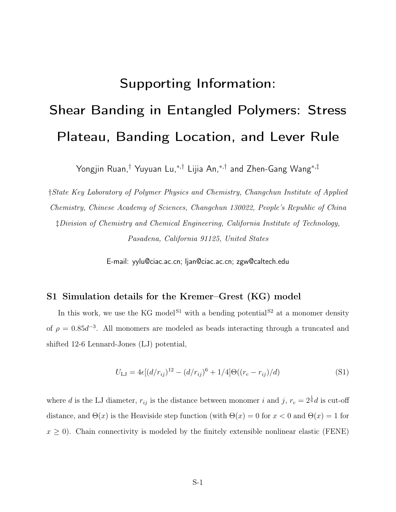# Supporting Information: Shear Banding in Entangled Polymers: Stress Plateau, Banding Location, and Lever Rule

Yongjin Ruan,† Yuyuan Lu,<sup>∗</sup>,† Lijia An,<sup>∗</sup>,† and Zhen-Gang Wang<sup>∗</sup>,‡

†State Key Laboratory of Polymer Physics and Chemistry, Changchun Institute of Applied Chemistry, Chinese Academy of Sciences, Changchun 130022, People's Republic of China ‡Division of Chemistry and Chemical Engineering, California Institute of Technology, Pasadena, California 91125, United States

E-mail: yylu@ciac.ac.cn; ljan@ciac.ac.cn; zgw@caltech.edu

#### S1 Simulation details for the Kremer–Grest (KG) model

In this work, we use the KG model<sup>S1</sup> with a bending potential<sup>S2</sup> at a monomer density of  $\rho = 0.85d^{-3}$ . All monomers are modeled as beads interacting through a truncated and shifted 12-6 Lennard-Jones (LJ) potential,

$$
U_{\text{LJ}} = 4\epsilon [(d/r_{ij})^{12} - (d/r_{ij})^6 + 1/4] \Theta((r_c - r_{ij})/d)
$$
\n(S1)

where d is the LJ diameter,  $r_{ij}$  is the distance between monomer i and j,  $r_c = 2^{\frac{1}{6}}d$  is cut-off distance, and  $\Theta(x)$  is the Heaviside step function (with  $\Theta(x) = 0$  for  $x < 0$  and  $\Theta(x) = 1$  for  $x \geq 0$ ). Chain connectivity is modeled by the finitely extensible nonlinear elastic (FENE)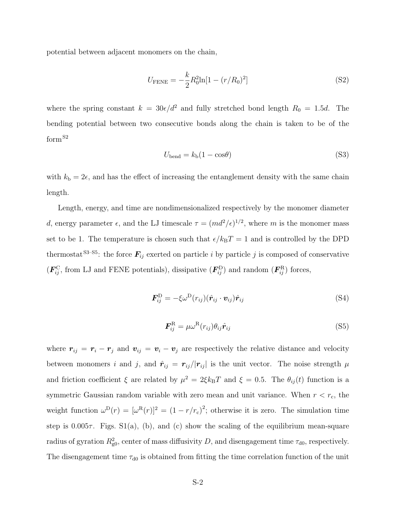potential between adjacent monomers on the chain,

$$
U_{\text{FENE}} = -\frac{k}{2} R_0^2 \ln[1 - (r/R_0)^2]
$$
 (S2)

where the spring constant  $k = 30\epsilon/d^2$  and fully stretched bond length  $R_0 = 1.5d$ . The bending potential between two consecutive bonds along the chain is taken to be of the form<sup>S2</sup>

$$
U_{\text{bend}} = k_{\text{b}}(1 - \cos\theta) \tag{S3}
$$

with  $k_b = 2\epsilon$ , and has the effect of increasing the entanglement density with the same chain length.

Length, energy, and time are nondimensionalized respectively by the monomer diameter d, energy parameter  $\epsilon$ , and the LJ timescale  $\tau = (md^2/\epsilon)^{1/2}$ , where m is the monomer mass set to be 1. The temperature is chosen such that  $\epsilon/k_BT = 1$  and is controlled by the DPD thermostat<sup>S3–S5</sup>: the force  $\mathbf{F}_{ij}$  exerted on particle i by particle j is composed of conservative  $(F_{ij}^{\text{C}}, \text{ from LJ and FENE potentials})$ , dissipative  $(F_{ij}^{\text{D}})$  and random  $(F_{ij}^{\text{R}})$  forces,

$$
\boldsymbol{F}_{ij}^{\mathrm{D}} = -\xi \omega^{\mathrm{D}}(r_{ij}) (\hat{\boldsymbol{r}}_{ij} \cdot \boldsymbol{v}_{ij}) \hat{\boldsymbol{r}}_{ij}
$$
(S4)

$$
\boldsymbol{F}_{ij}^{\mathrm{R}} = \mu \omega^{\mathrm{R}}(r_{ij}) \theta_{ij} \hat{\boldsymbol{r}}_{ij} \tag{S5}
$$

where  $r_{ij} = r_i - r_j$  and  $v_{ij} = v_i - v_j$  are respectively the relative distance and velocity between monomers i and j, and  $\hat{r}_{ij} = r_{ij}/|r_{ij}|$  is the unit vector. The noise strength  $\mu$ and friction coefficient  $\xi$  are related by  $\mu^2 = 2\xi k_B T$  and  $\xi = 0.5$ . The  $\theta_{ij}(t)$  function is a symmetric Gaussian random variable with zero mean and unit variance. When  $r < r<sub>c</sub>$ , the weight function  $\omega^{\mathcal{D}}(r) = [\omega^{\mathcal{R}}(r)]^2 = (1 - r/r_c)^2$ ; otherwise it is zero. The simulation time step is  $0.005\tau$ . Figs. S1(a), (b), and (c) show the scaling of the equilibrium mean-square radius of gyration  $R_{\text{g0}}^2$ , center of mass diffusivity D, and disengagement time  $\tau_{\text{d0}}$ , respectively. The disengagement time  $\tau_{d0}$  is obtained from fitting the time correlation function of the unit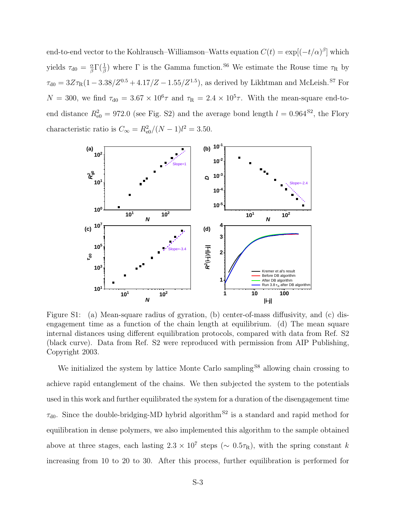end-to-end vector to the Kohlrausch–Williamson–Watts equation  $C(t) = \exp[(-t/\alpha)^{\beta}]$  which yields  $\tau_{d0} = \frac{\alpha}{\beta}$  $\frac{\alpha}{\beta} \Gamma(\frac{1}{\beta})$  where  $\Gamma$  is the Gamma function.<sup>S6</sup> We estimate the Rouse time  $\tau_R$  by  $\tau_{\rm d0} = 3Z\tau_{\rm R}(1-3.38/Z^{0.5}+4.17/Z-1.55/Z^{1.5})$ , as derived by Likhtman and McLeish.<sup>87</sup> For  $N = 300$ , we find  $\tau_{d0} = 3.67 \times 10^6 \tau$  and  $\tau_R = 2.4 \times 10^5 \tau$ . With the mean-square end-toend distance  $R_{e0}^2 = 972.0$  (see Fig. S2) and the average bond length  $l = 0.964$ <sup>S2</sup>, the Flory characteristic ratio is  $C_{\infty} = R_{\text{e}0}^2/(N-1)l^2 = 3.50$ .



Figure S1: (a) Mean-square radius of gyration, (b) center-of-mass diffusivity, and (c) disengagement time as a function of the chain length at equilibrium. (d) The mean square internal distances using different equilibration protocols, compared with data from Ref. S2 (black curve). Data from Ref. S2 were reproduced with permission from AIP Publishing, Copyright 2003.

We initialized the system by lattice Monte Carlo sampling<sup>S8</sup> allowing chain crossing to achieve rapid entanglement of the chains. We then subjected the system to the potentials used in this work and further equilibrated the system for a duration of the disengagement time  $\tau_{d0}$ . Since the double-bridging-MD hybrid algorithm<sup>S2</sup> is a standard and rapid method for equilibration in dense polymers, we also implemented this algorithm to the sample obtained above at three stages, each lasting  $2.3 \times 10^7$  steps ( $\sim 0.5 \tau_R$ ), with the spring constant k increasing from 10 to 20 to 30. After this process, further equilibration is performed for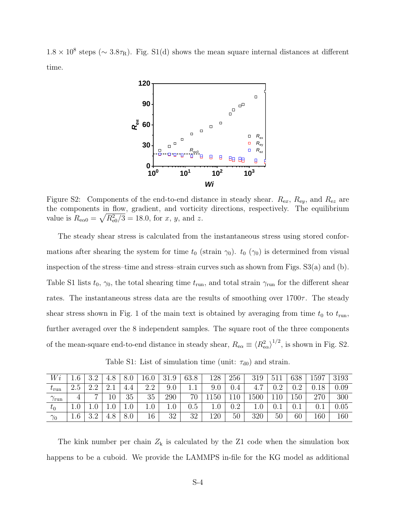$1.8 \times 10^8$  steps (~ 3.8 $\tau_R$ ). Fig. S1(d) shows the mean square internal distances at different time.



Figure S2: Components of the end-to-end distance in steady shear.  $R_{ex}$ ,  $R_{ey}$ , and  $R_{ez}$  are the components in flow, gradient, and vorticity directions, respectively. The equilibrium value is  $R_{\text{eq}} = \sqrt{R_{\text{eq}}^2/3} = 18.0$ , for x, y, and z.

The steady shear stress is calculated from the instantaneous stress using stored conformations after shearing the system for time  $t_0$  (strain  $\gamma_0$ ).  $t_0$  ( $\gamma_0$ ) is determined from visual inspection of the stress–time and stress–strain curves such as shown from Figs.  $S3(a)$  and (b). Table S1 lists  $t_0$ ,  $\gamma_0$ , the total shearing time  $t_{\rm run}$ , and total strain  $\gamma_{\rm run}$  for the different shear rates. The instantaneous stress data are the results of smoothing over  $1700\tau$ . The steady shear stress shown in Fig. 1 of the main text is obtained by averaging from time  $t_0$  to  $t_{\text{run}}$ , further averaged over the 8 independent samples. The square root of the three components of the mean-square end-to-end distance in steady shear,  $R_{\text{e}\alpha} \equiv \langle R_{\text{e}\alpha}^2 \rangle^{1/2}$ , is shown in Fig. S2.

Table S1: List of simulation time (unit:  $\tau_{d0}$ ) and strain.

| W                 |                   | $\cdots$<br>ບ.⊿    | 4.8              | 8.0 | 16.0                 | 31.9 | 63.8    | 128 | 256       | 319  | 511<br>- O T T | 638  | 1597 | 3193 |
|-------------------|-------------------|--------------------|------------------|-----|----------------------|------|---------|-----|-----------|------|----------------|------|------|------|
| $\iota_{\rm run}$ | റ<br>∠.ປ          | $\Omega$           | $\Omega$<br>2. L |     | റ<br>$\Omega$<br>2.Z | 9.0  | ⊥.⊥     |     | 0.4       | 4.1  | ററ<br>v.⊿      | റ    |      | 0.09 |
| $\sim$<br>/run    |                   | $\overline{ }$     | 10               | 35  | 35                   | 290  | 70      | 50  | 110       | 1500 |                | 150  | 270  | 300  |
| $t_0$             | T.A               | 1.V                |                  | 1.U | $1.0\,$              | 1.U  | $0.5\,$ |     | റാ<br>v., | 1.U  | v.ı            | v. t |      | 0.05 |
| $\gamma_0$        | C.<br><b>T</b> .O | ററ<br>. . <u>.</u> | 4.8              | 8.0 | 16                   | 32   | 32      | 120 | 50        | 320  | $50\,$         | 60   | 160  | 160  |

The kink number per chain  $Z_k$  is calculated by the Z1 code when the simulation box happens to be a cuboid. We provide the LAMMPS in-file for the KG model as additional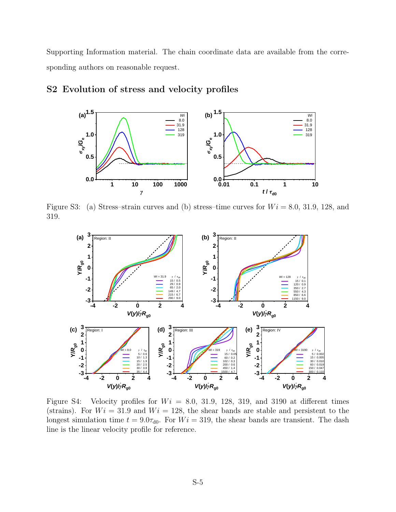Supporting Information material. The chain coordinate data are available from the corresponding authors on reasonable request.



#### S2 Evolution of stress and velocity profiles

Figure S3: (a) Stress–strain curves and (b) stress–time curves for  $Wi = 8.0, 31.9, 128,$  and 319.



Figure S4: Velocity profiles for  $Wi = 8.0, 31.9, 128, 319,$  and 3190 at different times (strains). For  $Wi = 31.9$  and  $Wi = 128$ , the shear bands are stable and persistent to the longest simulation time  $t = 9.0\tau_{d0}$ . For  $Wi = 319$ , the shear bands are transient. The dash line is the linear velocity profile for reference.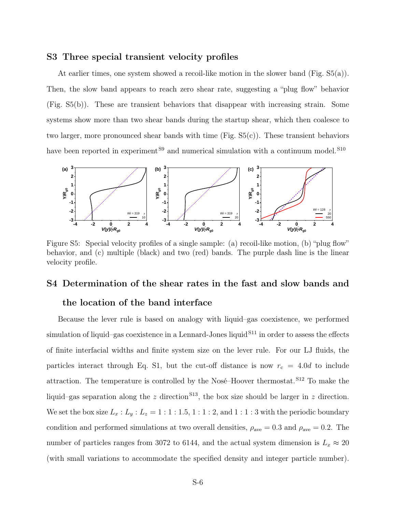#### S3 Three special transient velocity profiles

At earlier times, one system showed a recoil-like motion in the slower band (Fig. S5(a)). Then, the slow band appears to reach zero shear rate, suggesting a "plug flow" behavior (Fig. S5(b)). These are transient behaviors that disappear with increasing strain. Some systems show more than two shear bands during the startup shear, which then coalesce to two larger, more pronounced shear bands with time  $(Fig. S5(c))$ . These transient behaviors have been reported in experiment<sup>S9</sup> and numerical simulation with a continuum model.<sup>S10</sup>



Figure S5: Special velocity profiles of a single sample: (a) recoil-like motion, (b) "plug flow" behavior, and (c) multiple (black) and two (red) bands. The purple dash line is the linear velocity profile.

## S4 Determination of the shear rates in the fast and slow bands and

#### the location of the band interface

Because the lever rule is based on analogy with liquid–gas coexistence, we performed simulation of liquid–gas coexistence in a Lennard-Jones liquid  $S<sup>11</sup>$  in order to assess the effects of finite interfacial widths and finite system size on the lever rule. For our LJ fluids, the particles interact through Eq. S1, but the cut-off distance is now  $r_c = 4.0d$  to include attraction. The temperature is controlled by the Nosé–Hoover thermostat. S12 To make the liquid–gas separation along the z direction<sup>S13</sup>, the box size should be larger in z direction. We set the box size  $L_x : L_y : L_z = 1 : 1 : 1.5, 1 : 1 : 2$ , and  $1 : 1 : 3$  with the periodic boundary condition and performed simulations at two overall densities,  $\rho_{\rm ave}=0.3$  and  $\rho_{\rm ave}=0.2$ . The number of particles ranges from 3072 to 6144, and the actual system dimension is  $L_x \approx 20$ (with small variations to accommodate the specified density and integer particle number).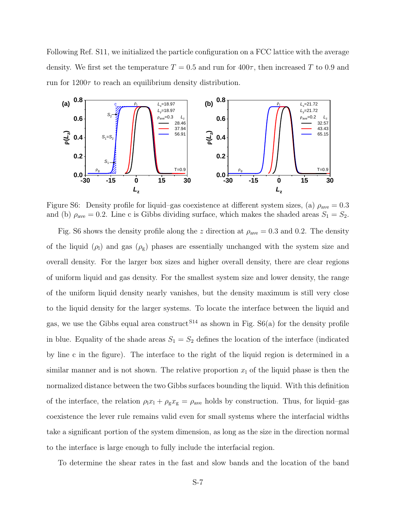Following Ref. S11, we initialized the particle configuration on a FCC lattice with the average density. We first set the temperature  $T = 0.5$  and run for  $400\tau$ , then increased T to 0.9 and run for  $1200\tau$  to reach an equilibrium density distribution.



Figure S6: Density profile for liquid–gas coexistence at different system sizes, (a)  $\rho_{\text{ave}} = 0.3$ and (b)  $\rho_{\text{ave}} = 0.2$ . Line c is Gibbs dividing surface, which makes the shaded areas  $S_1 = S_2$ .

Fig. S6 shows the density profile along the z direction at  $\rho_{ave} = 0.3$  and 0.2. The density of the liquid  $(\rho_l)$  and gas  $(\rho_g)$  phases are essentially unchanged with the system size and overall density. For the larger box sizes and higher overall density, there are clear regions of uniform liquid and gas density. For the smallest system size and lower density, the range of the uniform liquid density nearly vanishes, but the density maximum is still very close to the liquid density for the larger systems. To locate the interface between the liquid and gas, we use the Gibbs equal area construct  $S^{14}$  as shown in Fig.  $S6(a)$  for the density profile in blue. Equality of the shade areas  $S_1 = S_2$  defines the location of the interface (indicated by line c in the figure). The interface to the right of the liquid region is determined in a similar manner and is not shown. The relative proportion  $x_1$  of the liquid phase is then the normalized distance between the two Gibbs surfaces bounding the liquid. With this definition of the interface, the relation  $\rho_1 x_1 + \rho_g x_g = \rho_{ave}$  holds by construction. Thus, for liquid–gas coexistence the lever rule remains valid even for small systems where the interfacial widths take a significant portion of the system dimension, as long as the size in the direction normal to the interface is large enough to fully include the interfacial region.

To determine the shear rates in the fast and slow bands and the location of the band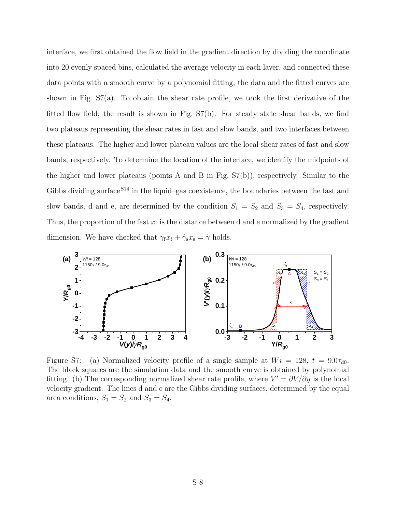interface, we first obtained the flow field in the gradient direction by dividing the coordinate into 20 evenly spaced bins, calculated the average velocity in each layer, and connected these data points with a smooth curve by a polynomial fitting; the data and the fitted curves are shown in Fig. S7(a). To obtain the shear rate profile, we took the first derivative of the fitted flow field; the result is shown in Fig. S7(b). For steady state shear bands, we find two plateaus representing the shear rates in fast and slow bands, and two interfaces between these plateaus. The higher and lower plateau values are the local shear rates of fast and slow bands, respectively. To determine the location of the interface, we identify the midpoints of the higher and lower plateaus (points A and B in Fig. S7(b)), respectively. Similar to the Gibbs dividing surface  $S^{14}$  in the liquid–gas coexistence, the boundaries between the fast and slow bands, d and e, are determined by the condition  $S_1 = S_2$  and  $S_3 = S_4$ , respectively. Thus, the proportion of the fast  $x_f$  is the distance between d and e normalized by the gradient dimension. We have checked that  $\dot{\gamma}_f x_f + \dot{\gamma}_s x_s = \dot{\gamma}$  holds.



Figure S7: (a) Normalized velocity profile of a single sample at  $Wi = 128$ ,  $t = 9.0\tau_{d0}$ . The black squares are the simulation data and the smooth curve is obtained by polynomial fitting. (b) The corresponding normalized shear rate profile, where  $V' = \partial V / \partial y$  is the local velocity gradient. The lines d and e are the Gibbs dividing surfaces, determined by the equal area conditions,  $S_1 = S_2$  and  $S_3 = S_4$ .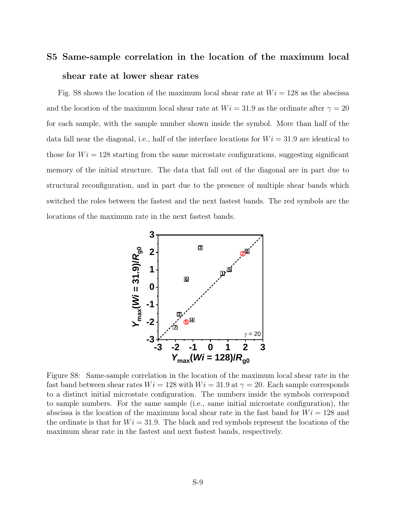### S5 Same-sample correlation in the location of the maximum local shear rate at lower shear rates

Fig. S8 shows the location of the maximum local shear rate at  $Wi = 128$  as the abscissa and the location of the maximum local shear rate at  $Wi = 31.9$  as the ordinate after  $\gamma = 20$ for each sample, with the sample number shown inside the symbol. More than half of the data fall near the diagonal, i.e., half of the interface locations for  $Wi = 31.9$  are identical to those for  $Wi = 128$  starting from the same microstate configurations, suggesting significant memory of the initial structure. The data that fall out of the diagonal are in part due to structural reconfiguration, and in part due to the presence of multiple shear bands which switched the roles between the fastest and the next fastest bands. The red symbols are the locations of the maximum rate in the next fastest bands.



Figure S8: Same-sample correlation in the location of the maximum local shear rate in the fast band between shear rates  $Wi = 128$  with  $Wi = 31.9$  at  $\gamma = 20$ . Each sample corresponds to a distinct initial microstate configuration. The numbers inside the symbols correspond to sample numbers. For the same sample (i.e., same initial microstate configuration), the abscissa is the location of the maximum local shear rate in the fast band for  $Wi = 128$  and the ordinate is that for  $Wi = 31.9$ . The black and red symbols represent the locations of the maximum shear rate in the fastest and next fastest bands, respectively.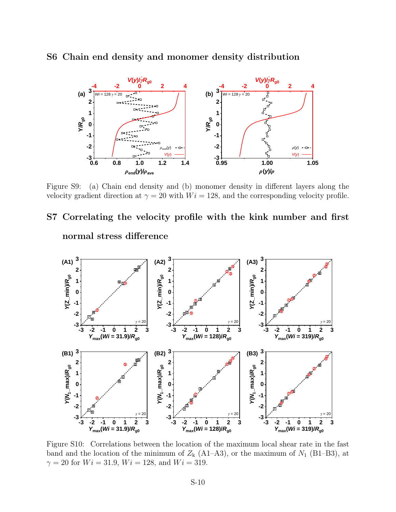

#### S6 Chain end density and monomer density distribution

Figure S9: (a) Chain end density and (b) monomer density in different layers along the velocity gradient direction at  $\gamma = 20$  with  $Wi = 128$ , and the corresponding velocity profile.

## S7 Correlating the velocity profile with the kink number and first normal stress difference



Figure S10: Correlations between the location of the maximum local shear rate in the fast band and the location of the minimum of  $Z_{k}$  (A1–A3), or the maximum of  $N_{1}$  (B1–B3), at  $\gamma = 20$  for  $Wi = 31.9$ ,  $Wi = 128$ , and  $Wi = 319$ .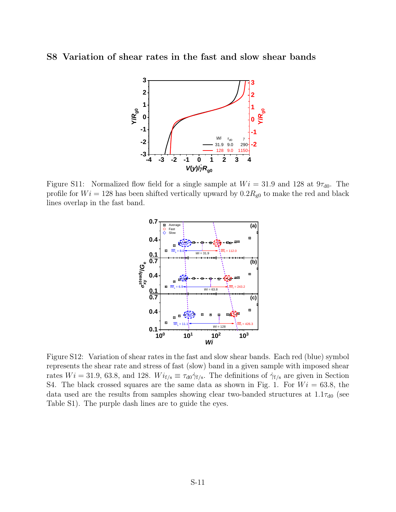#### S8 Variation of shear rates in the fast and slow shear bands



Figure S11: Normalized flow field for a single sample at  $Wi = 31.9$  and 128 at  $9\tau_{d0}$ . The profile for  $Wi = 128$  has been shifted vertically upward by  $0.2R_{g0}$  to make the red and black lines overlap in the fast band.



Figure S12: Variation of shear rates in the fast and slow shear bands. Each red (blue) symbol represents the shear rate and stress of fast (slow) band in a given sample with imposed shear rates  $Wi = 31.9, 63.8,$  and 128.  $Wi_{f/s} \equiv \tau_{d0} \dot{\gamma}_{f/s}$ . The definitions of  $\dot{\gamma}_{f/s}$  are given in Section S4. The black crossed squares are the same data as shown in Fig. 1. For  $Wi = 63.8$ , the data used are the results from samples showing clear two-banded structures at  $1.1\tau_{d0}$  (see Table S1). The purple dash lines are to guide the eyes.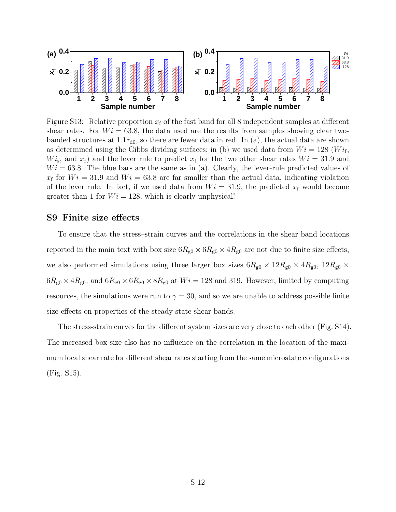

Figure S13: Relative proportion  $x_f$  of the fast band for all 8 independent samples at different shear rates. For  $Wi = 63.8$ , the data used are the results from samples showing clear twobanded structures at  $1.1\tau_{d0}$ , so there are fewer data in red. In (a), the actual data are shown as determined using the Gibbs dividing surfaces; in (b) we used data from  $Wi = 128$  ( $Wi<sub>f</sub>$ ,  $Wi<sub>s</sub>$ , and  $x<sub>f</sub>$  and the lever rule to predict  $x<sub>f</sub>$  for the two other shear rates  $Wi = 31.9$  and  $Wi = 63.8$ . The blue bars are the same as in (a). Clearly, the lever-rule predicted values of  $x_f$  for  $Wi = 31.9$  and  $Wi = 63.8$  are far smaller than the actual data, indicating violation of the lever rule. In fact, if we used data from  $Wi = 31.9$ , the predicted  $x_f$  would become greater than 1 for  $Wi = 128$ , which is clearly unphysical!

#### S9 Finite size effects

To ensure that the stress–strain curves and the correlations in the shear band locations reported in the main text with box size  $6R_{g0} \times 6R_{g0} \times 4R_{g0}$  are not due to finite size effects, we also performed simulations using three larger box sizes  $6R_{g0} \times 12R_{g0} \times 4R_{g0}$ ,  $12R_{g0} \times$  $6R_{\text{g0}} \times 4R_{\text{g0}}$ , and  $6R_{\text{g0}} \times 6R_{\text{g0}} \times 8R_{\text{g0}}$  at  $Wi = 128$  and 319. However, limited by computing resources, the simulations were run to  $\gamma = 30$ , and so we are unable to address possible finite size effects on properties of the steady-state shear bands.

The stress-strain curves for the different system sizes are very close to each other (Fig. S14). The increased box size also has no influence on the correlation in the location of the maximum local shear rate for different shear rates starting from the same microstate configurations (Fig. S15).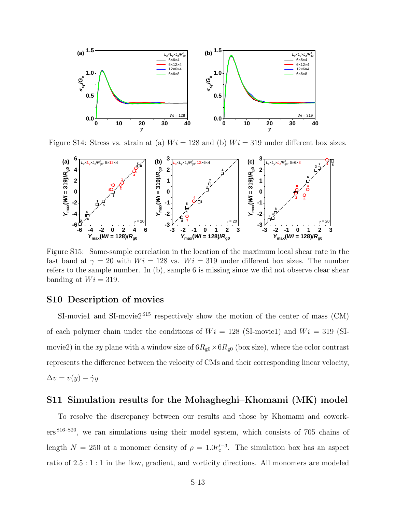

Figure S14: Stress vs. strain at (a)  $Wi = 128$  and (b)  $Wi = 319$  under different box sizes.



Figure S15: Same-sample correlation in the location of the maximum local shear rate in the fast band at  $\gamma = 20$  with  $Wi = 128$  vs.  $Wi = 319$  under different box sizes. The number refers to the sample number. In (b), sample 6 is missing since we did not observe clear shear banding at  $Wi = 319$ .

#### S10 Description of movies

SI-movie1 and SI-movie  $2^{515}$  respectively show the motion of the center of mass (CM) of each polymer chain under the conditions of  $Wi = 128$  (SI-movie1) and  $Wi = 319$  (SImovie2) in the xy plane with a window size of  $6R_{g0} \times 6R_{g0}$  (box size), where the color contrast represents the difference between the velocity of CMs and their corresponding linear velocity,  $\Delta v = v(y) - \dot{\gamma}y$ 

#### S11 Simulation results for the Mohagheghi–Khomami (MK) model

To resolve the discrepancy between our results and those by Khomami and coworkers<sup>S16–S20</sup>, we ran simulations using their model system, which consists of 705 chains of length  $N = 250$  at a monomer density of  $\rho = 1.0r_c^{\prime - 3}$ . The simulation box has an aspect ratio of 2.5 : 1 : 1 in the flow, gradient, and vorticity directions. All monomers are modeled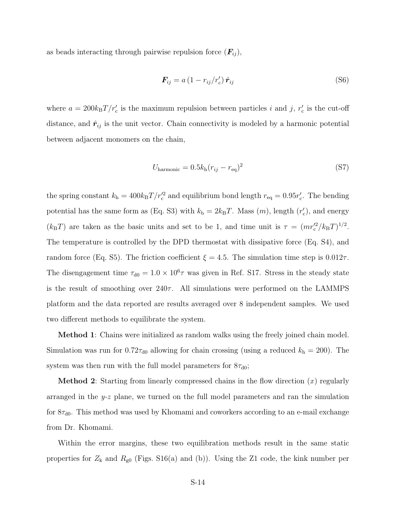as beads interacting through pairwise repulsion force  $(F_{ij}),$ 

$$
\boldsymbol{F}_{ij} = a \left( 1 - r_{ij} / r_c' \right) \hat{\boldsymbol{r}}_{ij} \tag{S6}
$$

where  $a = 200k_B T/r_c'$  is the maximum repulsion between particles i and j,  $r_c'$  is the cut-off distance, and  $\hat{r}_{ij}$  is the unit vector. Chain connectivity is modeled by a harmonic potential between adjacent monomers on the chain,

$$
U_{\text{harmonic}} = 0.5k_{\text{h}}(r_{ij} - r_{\text{eq}})^2
$$
\n(S7)

the spring constant  $k_h = 400k_B T/r_c^2$  and equilibrium bond length  $r_{\text{eq}} = 0.95r_c^{\prime}$ . The bending potential has the same form as (Eq. S3) with  $k_{\rm b} = 2k_{\rm B}T$ . Mass  $(m)$ , length  $(r'_{\rm c})$ , and energy  $(k_{\rm B}T)$  are taken as the basic units and set to be 1, and time unit is  $\tau = (mr_c^2/k_BT)^{1/2}$ . The temperature is controlled by the DPD thermostat with dissipative force (Eq. S4), and random force (Eq. S5). The friction coefficient  $\xi = 4.5$ . The simulation time step is 0.012 $\tau$ . The disengagement time  $\tau_{d0} = 1.0 \times 10^6 \tau$  was given in Ref. S17. Stress in the steady state is the result of smoothing over  $240\tau$ . All simulations were performed on the LAMMPS platform and the data reported are results averaged over 8 independent samples. We used two different methods to equilibrate the system.

**Method 1**: Chains were initialized as random walks using the freely joined chain model. Simulation was run for  $0.72\tau_{d0}$  allowing for chain crossing (using a reduced  $k_h = 200$ ). The system was then run with the full model parameters for  $8\tau_{d0}$ ;

**Method 2:** Starting from linearly compressed chains in the flow direction  $(x)$  regularly arranged in the  $y-z$  plane, we turned on the full model parameters and ran the simulation for  $8\tau_{d0}$ . This method was used by Khomami and coworkers according to an e-mail exchange from Dr. Khomami.

Within the error margins, these two equilibration methods result in the same static properties for  $Z_k$  and  $R_{g0}$  (Figs. S16(a) and (b)). Using the Z1 code, the kink number per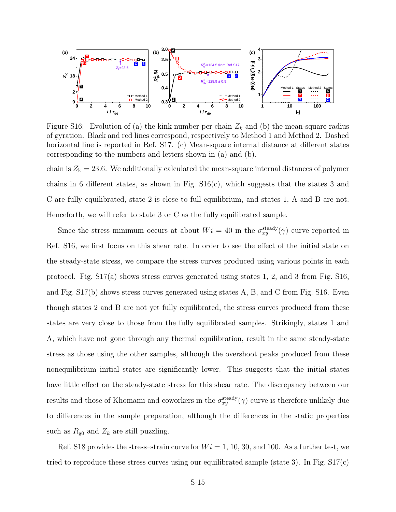

Figure S16: Evolution of (a) the kink number per chain  $Z_k$  and (b) the mean-square radius of gyration. Black and red lines correspond, respectively to Method 1 and Method 2. Dashed horizontal line is reported in Ref. S17. (c) Mean-square internal distance at different states corresponding to the numbers and letters shown in (a) and (b).

chain is  $Z_k = 23.6$ . We additionally calculated the mean-square internal distances of polymer chains in 6 different states, as shown in Fig. S16(c), which suggests that the states 3 and C are fully equilibrated, state 2 is close to full equilibrium, and states 1, A and B are not. Henceforth, we will refer to state 3 or C as the fully equilibrated sample.

Since the stress minimum occurs at about  $Wi = 40$  in the  $\sigma_{xy}^{\text{steady}}(\dot{\gamma})$  curve reported in Ref. S16, we first focus on this shear rate. In order to see the effect of the initial state on the steady-state stress, we compare the stress curves produced using various points in each protocol. Fig. S17(a) shows stress curves generated using states 1, 2, and 3 from Fig. S16, and Fig. S17(b) shows stress curves generated using states A, B, and C from Fig. S16. Even though states 2 and B are not yet fully equilibrated, the stress curves produced from these states are very close to those from the fully equilibrated samples. Strikingly, states 1 and A, which have not gone through any thermal equilibration, result in the same steady-state stress as those using the other samples, although the overshoot peaks produced from these nonequilibrium initial states are significantly lower. This suggests that the initial states have little effect on the steady-state stress for this shear rate. The discrepancy between our results and those of Khomami and coworkers in the  $\sigma_{xy}^{\text{steady}}(\dot{\gamma})$  curve is therefore unlikely due to differences in the sample preparation, although the differences in the static properties such as  $R_{\rm g0}$  and  $Z_k$  are still puzzling.

Ref. S18 provides the stress-strain curve for  $Wi = 1, 10, 30,$  and 100. As a further test, we tried to reproduce these stress curves using our equilibrated sample (state 3). In Fig.  $S17(c)$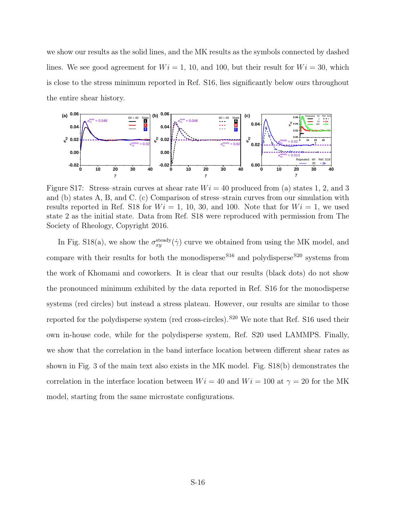we show our results as the solid lines, and the MK results as the symbols connected by dashed lines. We see good agreement for  $Wi = 1, 10,$  and 100, but their result for  $Wi = 30$ , which is close to the stress minimum reported in Ref. S16, lies significantly below ours throughout the entire shear history.



Figure S17: Stress-strain curves at shear rate  $Wi = 40$  produced from (a) states 1, 2, and 3 and (b) states A, B, and C. (c) Comparison of stress–strain curves from our simulation with results reported in Ref. S18 for  $Wi = 1, 10, 30,$  and 100. Note that for  $Wi = 1$ , we used state 2 as the initial state. Data from Ref. S18 were reproduced with permission from The Society of Rheology, Copyright 2016.

In Fig. S18(a), we show the  $\sigma_{xy}^{\text{steady}}(\dot{\gamma})$  curve we obtained from using the MK model, and compare with their results for both the monodisperse  $S16$  and polydisperse  $S20$  systems from the work of Khomami and coworkers. It is clear that our results (black dots) do not show the pronounced minimum exhibited by the data reported in Ref. S16 for the monodisperse systems (red circles) but instead a stress plateau. However, our results are similar to those reported for the polydisperse system (red cross-circles). <sup>S20</sup> We note that Ref. S16 used their own in-house code, while for the polydisperse system, Ref. S20 used LAMMPS. Finally, we show that the correlation in the band interface location between different shear rates as shown in Fig. 3 of the main text also exists in the MK model. Fig. S18(b) demonstrates the correlation in the interface location between  $Wi = 40$  and  $Wi = 100$  at  $\gamma = 20$  for the MK model, starting from the same microstate configurations.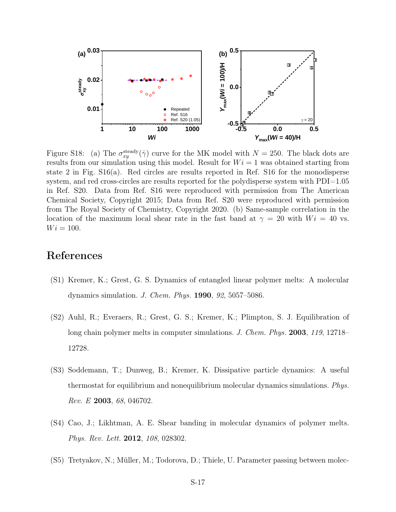

Figure S18: (a) The  $\sigma_{xy}^{\text{steady}}(\dot{\gamma})$  curve for the MK model with  $N = 250$ . The black dots are results from our simulation using this model. Result for  $Wi = 1$  was obtained starting from state 2 in Fig. S16(a). Red circles are results reported in Ref. S16 for the monodisperse system, and red cross-circles are results reported for the polydisperse system with PDI=1.05 in Ref. S20. Data from Ref. S16 were reproduced with permission from The American Chemical Society, Copyright 2015; Data from Ref. S20 were reproduced with permission from The Royal Society of Chemistry, Copyright 2020. (b) Same-sample correlation in the location of the maximum local shear rate in the fast band at  $\gamma = 20$  with  $Wi = 40$  vs.  $Wi = 100.$ 

#### References

- (S1) Kremer, K.; Grest, G. S. Dynamics of entangled linear polymer melts: A molecular dynamics simulation. J. Chem. Phys. 1990, 92, 5057–5086.
- (S2) Auhl, R.; Everaers, R.; Grest, G. S.; Kremer, K.; Plimpton, S. J. Equilibration of long chain polymer melts in computer simulations. J. Chem. Phys. 2003, 119, 12718– 12728.
- (S3) Soddemann, T.; Dunweg, B.; Kremer, K. Dissipative particle dynamics: A useful thermostat for equilibrium and nonequilibrium molecular dynamics simulations. Phys. Rev. E 2003, 68, 046702.
- (S4) Cao, J.; Likhtman, A. E. Shear banding in molecular dynamics of polymer melts. Phys. Rev. Lett. 2012, 108, 028302.
- (S5) Tretyakov, N.; Müller, M.; Todorova, D.; Thiele, U. Parameter passing between molec-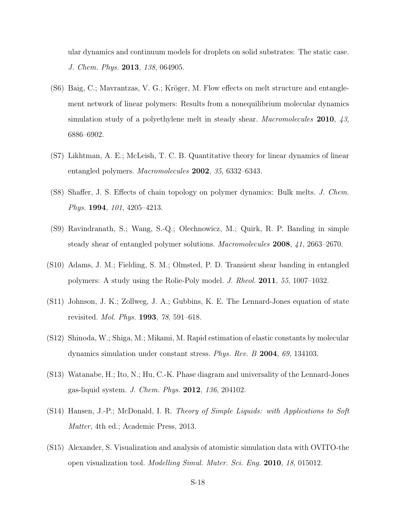ular dynamics and continuum models for droplets on solid substrates: The static case. J. Chem. Phys. 2013, 138, 064905.

- (S6) Baig, C.; Mavrantzas, V. G.; Kröger, M. Flow effects on melt structure and entanglement network of linear polymers: Results from a nonequilibrium molecular dynamics simulation study of a polyethylene melt in steady shear. Macromolecules 2010, 43, 6886–6902.
- (S7) Likhtman, A. E.; McLeish, T. C. B. Quantitative theory for linear dynamics of linear entangled polymers. Macromolecules 2002, 35, 6332–6343.
- (S8) Shaffer, J. S. Effects of chain topology on polymer dynamics: Bulk melts. J. Chem. Phys. 1994, 101, 4205-4213.
- (S9) Ravindranath, S.; Wang, S.-Q.; Olechnowicz, M.; Quirk, R. P. Banding in simple steady shear of entangled polymer solutions. Macromolecules 2008, 41, 2663–2670.
- (S10) Adams, J. M.; Fielding, S. M.; Olmsted, P. D. Transient shear banding in entangled polymers: A study using the Rolie-Poly model. J. Rheol. 2011, 55, 1007–1032.
- (S11) Johnson, J. K.; Zollweg, J. A.; Gubbins, K. E. The Lennard-Jones equation of state revisited. Mol. Phys. 1993, 78, 591–618.
- (S12) Shinoda, W.; Shiga, M.; Mikami, M. Rapid estimation of elastic constants by molecular dynamics simulation under constant stress. Phys. Rev. B 2004, 69, 134103.
- (S13) Watanabe, H.; Ito, N.; Hu, C.-K. Phase diagram and universality of the Lennard-Jones gas-liquid system. J. Chem. Phys. 2012, 136, 204102.
- (S14) Hansen, J.-P.; McDonald, I. R. Theory of Simple Liquids: with Applications to Soft Matter, 4th ed.; Academic Press, 2013.
- (S15) Alexander, S. Visualization and analysis of atomistic simulation data with OVITO-the open visualization tool. Modelling Simul. Mater. Sci. Eng. 2010, 18, 015012.